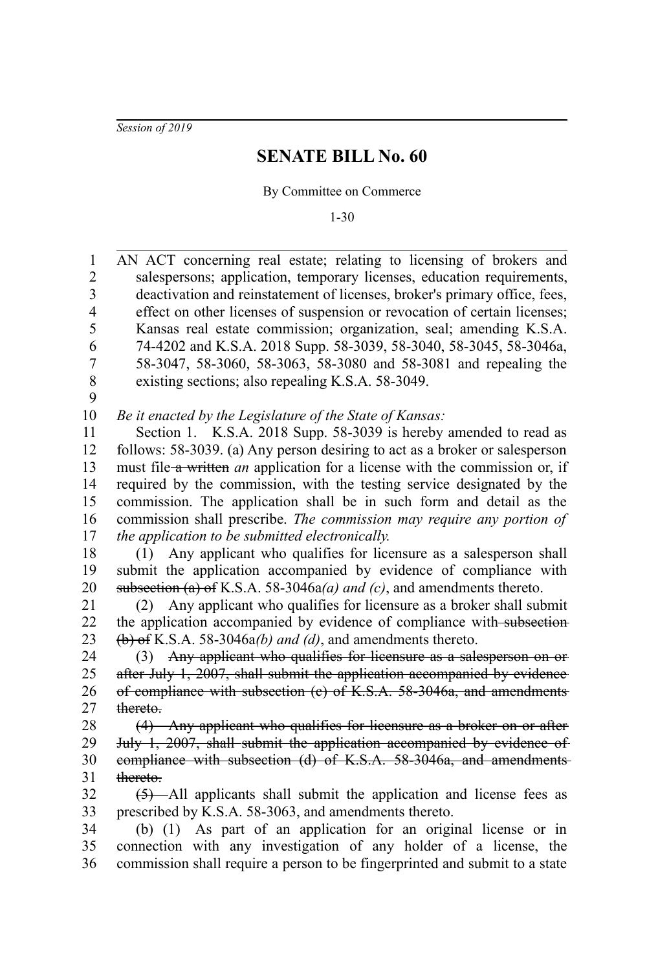*Session of 2019*

## **SENATE BILL No. 60**

By Committee on Commerce

1-30

AN ACT concerning real estate; relating to licensing of brokers and salespersons; application, temporary licenses, education requirements, deactivation and reinstatement of licenses, broker's primary office, fees, effect on other licenses of suspension or revocation of certain licenses; Kansas real estate commission; organization, seal; amending K.S.A. 74-4202 and K.S.A. 2018 Supp. 58-3039, 58-3040, 58-3045, 58-3046a, 58-3047, 58-3060, 58-3063, 58-3080 and 58-3081 and repealing the existing sections; also repealing K.S.A. 58-3049. *Be it enacted by the Legislature of the State of Kansas:* Section 1. K.S.A. 2018 Supp. 58-3039 is hereby amended to read as follows: 58-3039. (a) Any person desiring to act as a broker or salesperson must file a written *an* application for a license with the commission or, if required by the commission, with the testing service designated by the commission. The application shall be in such form and detail as the commission shall prescribe. *The commission may require any portion of the application to be submitted electronically.* (1) Any applicant who qualifies for licensure as a salesperson shall submit the application accompanied by evidence of compliance with subsection (a) of K.S.A. 58-3046a*(a) and (c)*, and amendments thereto. (2) Any applicant who qualifies for licensure as a broker shall submit the application accompanied by evidence of compliance with subsection (b) of K.S.A. 58-3046a*(b) and (d)*, and amendments thereto. (3) Any applicant who qualifies for licensure as a salesperson on or after July 1, 2007, shall submit the application accompanied by evidence of compliance with subsection (c) of K.S.A. 58-3046a, and amendments thereto. (4) Any applicant who qualifies for licensure as a broker on or after July 1, 2007, shall submit the application accompanied by evidence of compliance with subsection (d) of K.S.A. 58-3046a, and amendments thereto.  $(5)$ —All applicants shall submit the application and license fees as prescribed by K.S.A. 58-3063, and amendments thereto. (b) (1) As part of an application for an original license or in connection with any investigation of any holder of a license, the commission shall require a person to be fingerprinted and submit to a state 1 2 3 4 5 6 7 8 9 10 11 12 13 14 15 16 17 18 19 20 21 22 23 24 25 26 27 28 29 30 31 32 33 34 35 36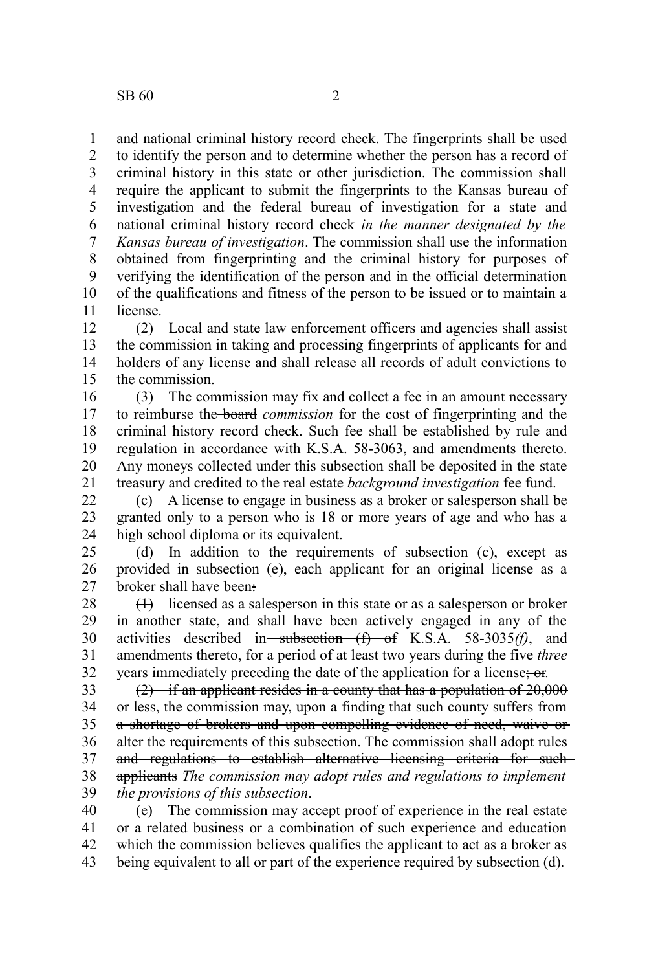and national criminal history record check. The fingerprints shall be used to identify the person and to determine whether the person has a record of criminal history in this state or other jurisdiction. The commission shall require the applicant to submit the fingerprints to the Kansas bureau of investigation and the federal bureau of investigation for a state and national criminal history record check *in the manner designated by the Kansas bureau of investigation*. The commission shall use the information obtained from fingerprinting and the criminal history for purposes of verifying the identification of the person and in the official determination of the qualifications and fitness of the person to be issued or to maintain a license. 1 2 3 4 5 6 7 8 9 10 11

(2) Local and state law enforcement officers and agencies shall assist the commission in taking and processing fingerprints of applicants for and holders of any license and shall release all records of adult convictions to the commission. 12 13 14 15

(3) The commission may fix and collect a fee in an amount necessary to reimburse the board *commission* for the cost of fingerprinting and the criminal history record check. Such fee shall be established by rule and regulation in accordance with K.S.A. 58-3063, and amendments thereto. Any moneys collected under this subsection shall be deposited in the state treasury and credited to the real estate *background investigation* fee fund. 16 17 18 19 20 21

(c) A license to engage in business as a broker or salesperson shall be granted only to a person who is 18 or more years of age and who has a high school diploma or its equivalent. 22 23 24

(d) In addition to the requirements of subsection (c), except as provided in subsection (e), each applicant for an original license as a broker shall have been: 25 26 27

(1) licensed as a salesperson in this state or as a salesperson or broker in another state, and shall have been actively engaged in any of the activities described in subsection (f) of K.S.A. 58-3035(f), and amendments thereto, for a period of at least two years during the five *three* years immediately preceding the date of the application for a license; or*.* 28 29 30 31 32

(2) if an applicant resides in a county that has a population of 20,000 or less, the commission may, upon a finding that such county suffers from a shortage of brokers and upon compelling evidence of need, waive or alter the requirements of this subsection. The commission shall adopt rules and regulations to establish alternative licensing criteria for such applicants *The commission may adopt rules and regulations to implement* 33 34 35 36 37 38

*the provisions of this subsection*. 39

(e) The commission may accept proof of experience in the real estate or a related business or a combination of such experience and education which the commission believes qualifies the applicant to act as a broker as being equivalent to all or part of the experience required by subsection (d). 40 41 42 43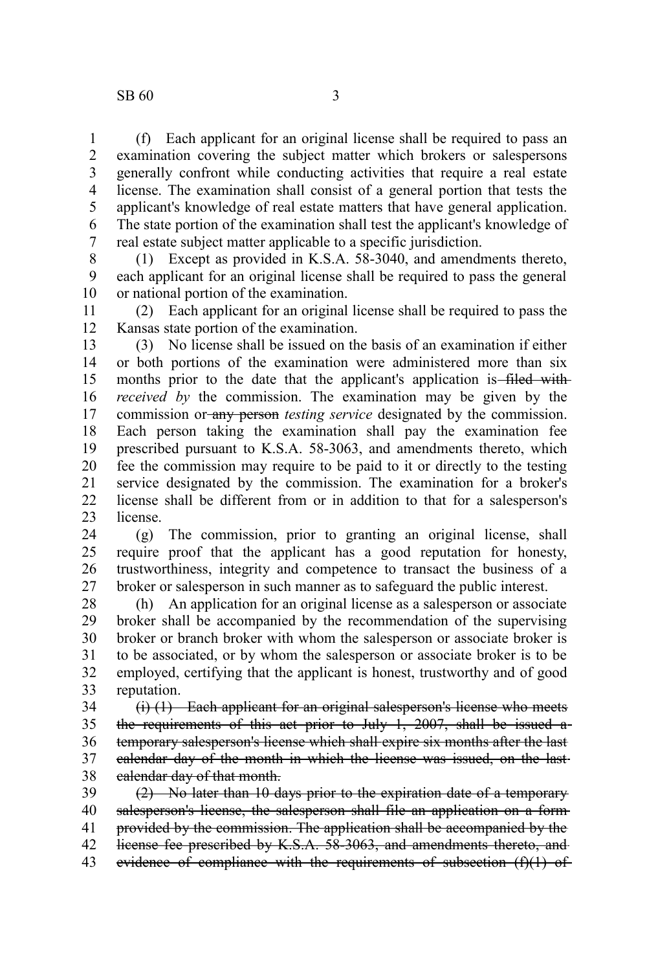## $SB 60$  3

(f) Each applicant for an original license shall be required to pass an examination covering the subject matter which brokers or salespersons generally confront while conducting activities that require a real estate license. The examination shall consist of a general portion that tests the applicant's knowledge of real estate matters that have general application. The state portion of the examination shall test the applicant's knowledge of real estate subject matter applicable to a specific jurisdiction. 1 2 3 4 5 6 7

(1) Except as provided in K.S.A. 58-3040, and amendments thereto, each applicant for an original license shall be required to pass the general or national portion of the examination. 8 9 10

(2) Each applicant for an original license shall be required to pass the Kansas state portion of the examination. 11 12

(3) No license shall be issued on the basis of an examination if either or both portions of the examination were administered more than six months prior to the date that the applicant's application is-filed with*received by* the commission. The examination may be given by the commission or any person *testing service* designated by the commission. Each person taking the examination shall pay the examination fee prescribed pursuant to K.S.A. 58-3063, and amendments thereto, which fee the commission may require to be paid to it or directly to the testing service designated by the commission. The examination for a broker's license shall be different from or in addition to that for a salesperson's license. 13 14 15 16 17 18 19 20 21 22 23

(g) The commission, prior to granting an original license, shall require proof that the applicant has a good reputation for honesty, trustworthiness, integrity and competence to transact the business of a broker or salesperson in such manner as to safeguard the public interest. 24 25 26 27

(h) An application for an original license as a salesperson or associate broker shall be accompanied by the recommendation of the supervising broker or branch broker with whom the salesperson or associate broker is to be associated, or by whom the salesperson or associate broker is to be employed, certifying that the applicant is honest, trustworthy and of good reputation. 28 29 30 31 32 33

(i) (1) Each applicant for an original salesperson's license who meets the requirements of this act prior to July  $1, 2007$ , shall be issued atemporary salesperson's license which shall expire six months after the last calendar day of the month in which the license was issued, on the last calendar day of that month. 34 35 36 37 38

(2) No later than 10 days prior to the expiration date of a temporary salesperson's license, the salesperson shall file an application on a formprovided by the commission. The application shall be accompanied by the license fee prescribed by K.S.A. 58-3063, and amendments thereto, and evidence of compliance with the requirements of subsection (f)(1) of 39 40 41 42 43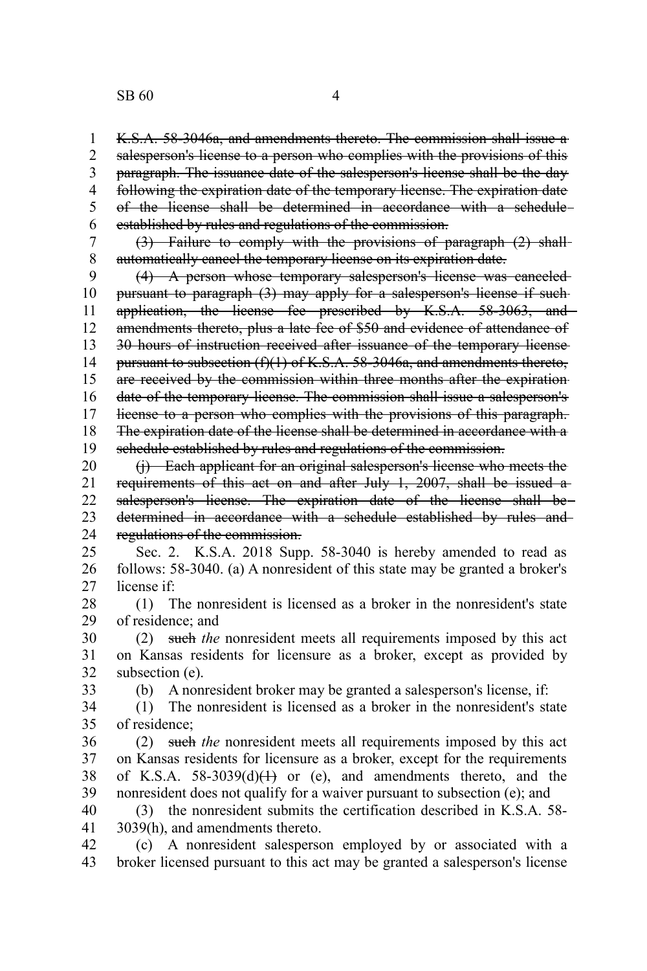K.S.A. 58-3046a, and amendments thereto. The commission shall issue a salesperson's license to a person who complies with the provisions of this paragraph. The issuance date of the salesperson's license shall be the day following the expiration date of the temporary license. The expiration date of the license shall be determined in accordance with a schedule established by rules and regulations of the commission. 1 2 3 4 5 6

(3) Failure to comply with the provisions of paragraph (2) shall automatically cancel the temporary license on its expiration date. 7 8

(4) A person whose temporary salesperson's license was canceled pursuant to paragraph (3) may apply for a salesperson's license if such application, the license fee prescribed by K.S.A. 58-3063, and amendments thereto, plus a late fee of \$50 and evidence of attendance of 30 hours of instruction received after issuance of the temporary license pursuant to subsection  $(f)(1)$  of K.S.A. 58-3046a, and amendments thereto, are received by the commission within three months after the expiration date of the temporary license. The commission shall issue a salesperson's license to a person who complies with the provisions of this paragraph. The expiration date of the license shall be determined in accordance with a schedule established by rules and regulations of the commission. 9 10 11 12 13 14 15 16 17 18 19

(j) Each applicant for an original salesperson's license who meets the requirements of this act on and after July 1, 2007, shall be issued a salesperson's license. The expiration date of the license shall bedetermined in accordance with a schedule established by rules and regulations of the commission. 20 21 22 23 24

Sec. 2. K.S.A. 2018 Supp. 58-3040 is hereby amended to read as follows: 58-3040. (a) A nonresident of this state may be granted a broker's license if: 25 26 27

(1) The nonresident is licensed as a broker in the nonresident's state of residence; and 28 29

(2) such *the* nonresident meets all requirements imposed by this act on Kansas residents for licensure as a broker, except as provided by subsection (e). 30 31 32

33

(b) A nonresident broker may be granted a salesperson's license, if:

(1) The nonresident is licensed as a broker in the nonresident's state of residence; 34 35

(2) such *the* nonresident meets all requirements imposed by this act on Kansas residents for licensure as a broker, except for the requirements of K.S.A.  $58-3039(d)(1)$  or (e), and amendments thereto, and the nonresident does not qualify for a waiver pursuant to subsection (e); and 36 37 38 39

(3) the nonresident submits the certification described in K.S.A. 58- 3039(h), and amendments thereto. 40 41

(c) A nonresident salesperson employed by or associated with a broker licensed pursuant to this act may be granted a salesperson's license 42 43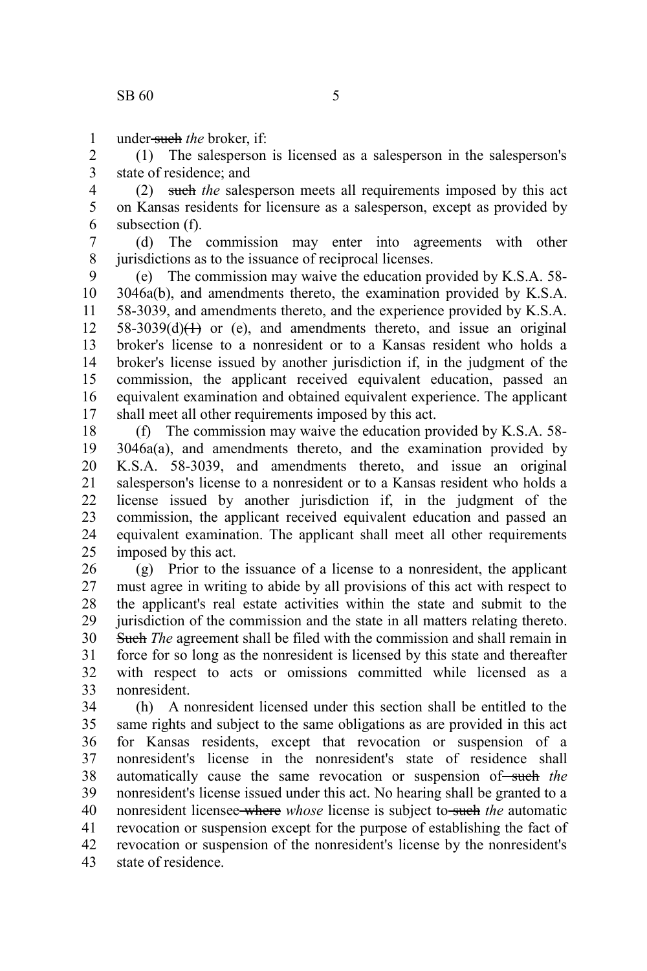under such *the* broker, if: 1

(1) The salesperson is licensed as a salesperson in the salesperson's state of residence; and 2 3

(2) such *the* salesperson meets all requirements imposed by this act on Kansas residents for licensure as a salesperson, except as provided by subsection (f). 4 5 6

(d) The commission may enter into agreements with other jurisdictions as to the issuance of reciprocal licenses. 7 8

(e) The commission may waive the education provided by K.S.A. 58- 3046a(b), and amendments thereto, the examination provided by K.S.A. 58-3039, and amendments thereto, and the experience provided by K.S.A.  $58-3039(d)(1)$  or (e), and amendments thereto, and issue an original broker's license to a nonresident or to a Kansas resident who holds a broker's license issued by another jurisdiction if, in the judgment of the commission, the applicant received equivalent education, passed an equivalent examination and obtained equivalent experience. The applicant shall meet all other requirements imposed by this act. 9 10 11 12 13 14 15 16 17

(f) The commission may waive the education provided by K.S.A. 58- 3046a(a), and amendments thereto, and the examination provided by K.S.A. 58-3039, and amendments thereto, and issue an original salesperson's license to a nonresident or to a Kansas resident who holds a license issued by another jurisdiction if, in the judgment of the commission, the applicant received equivalent education and passed an equivalent examination. The applicant shall meet all other requirements imposed by this act. 18 19 20 21 22 23 24 25

(g) Prior to the issuance of a license to a nonresident, the applicant must agree in writing to abide by all provisions of this act with respect to the applicant's real estate activities within the state and submit to the jurisdiction of the commission and the state in all matters relating thereto. Such *The* agreement shall be filed with the commission and shall remain in force for so long as the nonresident is licensed by this state and thereafter with respect to acts or omissions committed while licensed as a nonresident. 26 27 28 29 30 31 32 33

(h) A nonresident licensed under this section shall be entitled to the same rights and subject to the same obligations as are provided in this act for Kansas residents, except that revocation or suspension of a nonresident's license in the nonresident's state of residence shall automatically cause the same revocation or suspension of such the nonresident's license issued under this act. No hearing shall be granted to a nonresident licensee-where *whose* license is subject to-such the automatic revocation or suspension except for the purpose of establishing the fact of revocation or suspension of the nonresident's license by the nonresident's state of residence. 34 35 36 37 38 39 40 41 42 43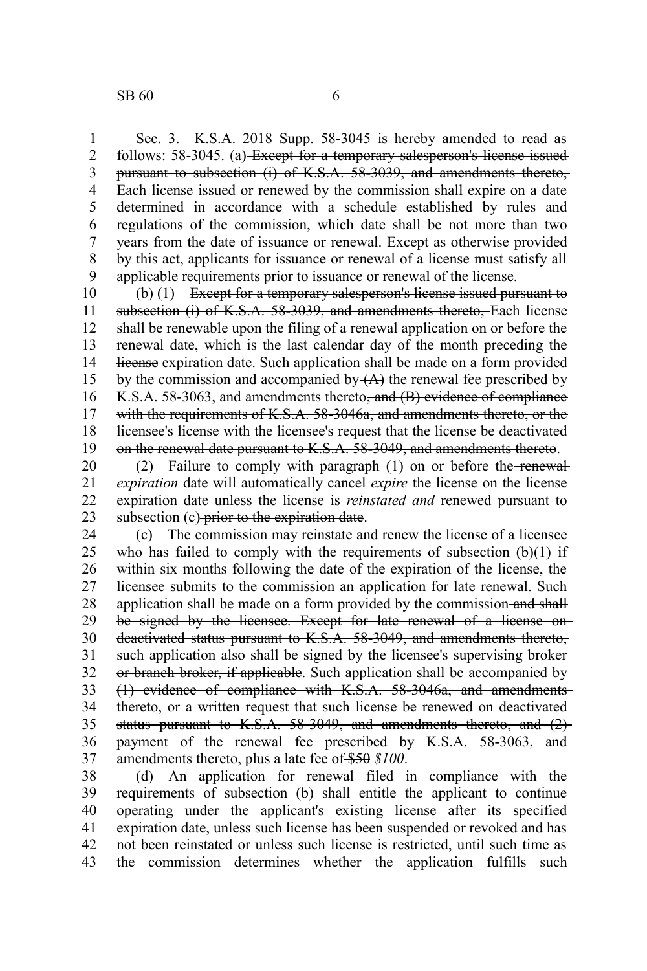Sec. 3. K.S.A. 2018 Supp. 58-3045 is hereby amended to read as follows: 58-3045. (a) Except for a temporary salesperson's license issued pursuant to subsection (i) of K.S.A. 58-3039, and amendments thereto, Each license issued or renewed by the commission shall expire on a date determined in accordance with a schedule established by rules and regulations of the commission, which date shall be not more than two years from the date of issuance or renewal. Except as otherwise provided by this act, applicants for issuance or renewal of a license must satisfy all applicable requirements prior to issuance or renewal of the license. 1 2 3 4 5 6 7 8 9

(b) (1) Except for a temporary salesperson's license issued pursuant to subsection (i) of K.S.A. 58-3039, and amendments thereto, Each license shall be renewable upon the filing of a renewal application on or before the renewal date, which is the last calendar day of the month preceding the license expiration date. Such application shall be made on a form provided by the commission and accompanied by  $(A)$  the renewal fee prescribed by K.S.A. 58-3063, and amendments thereto<del>, and (B) evidence of compliance</del> with the requirements of K.S.A. 58-3046a, and amendments thereto, or the licensee's license with the licensee's request that the license be deactivated on the renewal date pursuant to K.S.A. 58-3049, and amendments thereto. 10 11 12 13 14 15 16 17 18 19

(2) Failure to comply with paragraph  $(1)$  on or before the renewal*expiration* date will automatically cancel *expire* the license on the license expiration date unless the license is *reinstated and* renewed pursuant to subsection (c) prior to the expiration date. 20 21 22 23

(c) The commission may reinstate and renew the license of a licensee who has failed to comply with the requirements of subsection  $(b)(1)$  if within six months following the date of the expiration of the license, the licensee submits to the commission an application for late renewal. Such application shall be made on a form provided by the commission-and shall be signed by the licensee. Except for late renewal of a license ondeactivated status pursuant to K.S.A. 58-3049, and amendments thereto, such application also shall be signed by the licensee's supervising brokeror branch broker, if applicable. Such application shall be accompanied by (1) evidence of compliance with K.S.A. 58-3046a, and amendments thereto, or a written request that such license be renewed on deactivated status pursuant to K.S.A. 58-3049, and amendments thereto, and (2)payment of the renewal fee prescribed by K.S.A. 58-3063, and amendments thereto, plus a late fee of \$50 *\$100*. 24 25 26 27 28 29 30 31 32 33 34 35 36 37

(d) An application for renewal filed in compliance with the requirements of subsection (b) shall entitle the applicant to continue operating under the applicant's existing license after its specified expiration date, unless such license has been suspended or revoked and has not been reinstated or unless such license is restricted, until such time as the commission determines whether the application fulfills such 38 39 40 41 42 43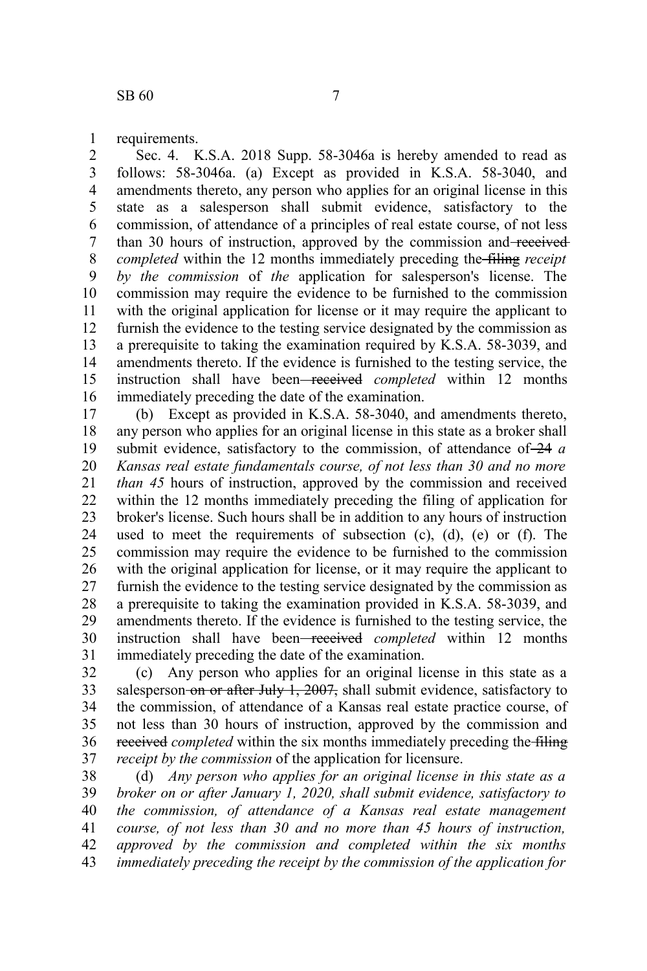requirements. 1

Sec. 4. K.S.A. 2018 Supp. 58-3046a is hereby amended to read as follows: 58-3046a. (a) Except as provided in K.S.A. 58-3040, and amendments thereto, any person who applies for an original license in this state as a salesperson shall submit evidence, satisfactory to the commission, of attendance of a principles of real estate course, of not less than 30 hours of instruction, approved by the commission and received *completed* within the 12 months immediately preceding the filing *receipt by the commission* of *the* application for salesperson's license. The commission may require the evidence to be furnished to the commission with the original application for license or it may require the applicant to furnish the evidence to the testing service designated by the commission as a prerequisite to taking the examination required by K.S.A. 58-3039, and amendments thereto. If the evidence is furnished to the testing service, the instruction shall have been received *completed* within 12 months immediately preceding the date of the examination. 2 3 4 5 6 7 8 9 10 11 12 13 14 15 16

(b) Except as provided in K.S.A. 58-3040, and amendments thereto, any person who applies for an original license in this state as a broker shall submit evidence, satisfactory to the commission, of attendance of 24 *a Kansas real estate fundamentals course, of not less than 30 and no more than 45* hours of instruction, approved by the commission and received within the 12 months immediately preceding the filing of application for broker's license. Such hours shall be in addition to any hours of instruction used to meet the requirements of subsection (c), (d), (e) or (f). The commission may require the evidence to be furnished to the commission with the original application for license, or it may require the applicant to furnish the evidence to the testing service designated by the commission as a prerequisite to taking the examination provided in K.S.A. 58-3039, and amendments thereto. If the evidence is furnished to the testing service, the instruction shall have been received *completed* within 12 months immediately preceding the date of the examination. 17 18 19 20 21 22 23 24 25 26 27 28 29 30 31

(c) Any person who applies for an original license in this state as a salesperson on or after July 1, 2007, shall submit evidence, satisfactory to the commission, of attendance of a Kansas real estate practice course, of not less than 30 hours of instruction, approved by the commission and received *completed* within the six months immediately preceding the filing *receipt by the commission* of the application for licensure. 32 33 34 35 36 37

(d) *Any person who applies for an original license in this state as a broker on or after January 1, 2020, shall submit evidence, satisfactory to the commission, of attendance of a Kansas real estate management course, of not less than 30 and no more than 45 hours of instruction, approved by the commission and completed within the six months immediately preceding the receipt by the commission of the application for* 38 39 40 41 42 43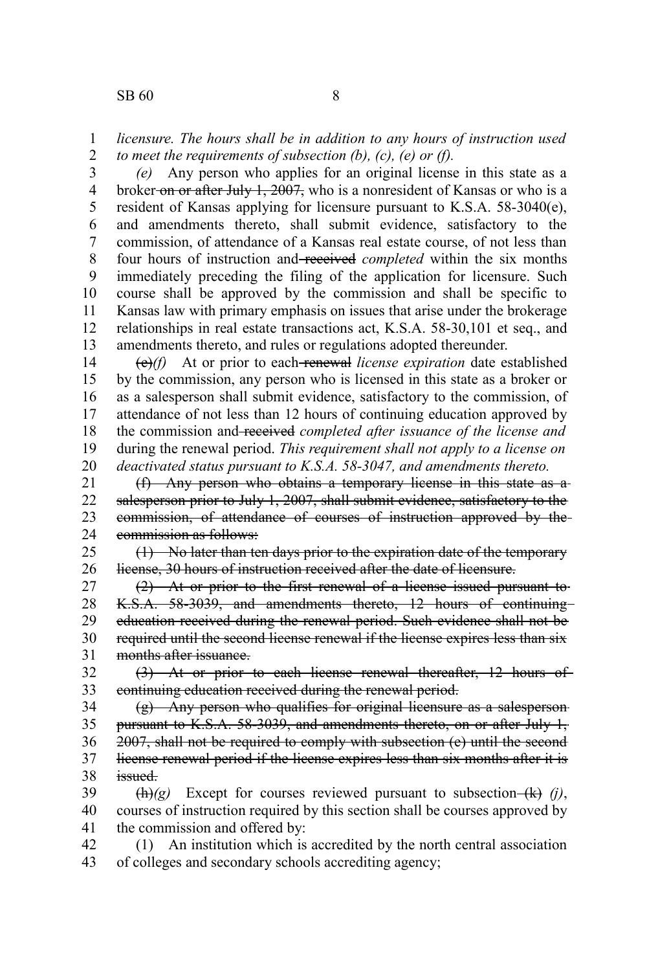*(e)* Any person who applies for an original license in this state as a broker on or after July 1, 2007, who is a nonresident of Kansas or who is a resident of Kansas applying for licensure pursuant to K.S.A. 58-3040(e), and amendments thereto, shall submit evidence, satisfactory to the commission, of attendance of a Kansas real estate course, of not less than four hours of instruction and received *completed* within the six months immediately preceding the filing of the application for licensure. Such course shall be approved by the commission and shall be specific to Kansas law with primary emphasis on issues that arise under the brokerage relationships in real estate transactions act, K.S.A. 58-30,101 et seq., and amendments thereto, and rules or regulations adopted thereunder. 3 4 5 6 7 8 9 10 11 12 13

(e)*(f)* At or prior to each renewal *license expiration* date established by the commission, any person who is licensed in this state as a broker or as a salesperson shall submit evidence, satisfactory to the commission, of attendance of not less than 12 hours of continuing education approved by the commission and received *completed after issuance of the license and* during the renewal period. *This requirement shall not apply to a license on deactivated status pursuant to K.S.A. 58-3047, and amendments thereto.* 14 15 16 17 18 19 20

(f) Any person who obtains a temporary license in this state as a salesperson prior to July 1, 2007, shall submit evidence, satisfactory to the commission, of attendance of courses of instruction approved by the commission as follows: 21 22 23 24

(1) No later than ten days prior to the expiration date of the temporary license, 30 hours of instruction received after the date of licensure. 25 26

(2) At or prior to the first renewal of a license issued pursuant to K.S.A. 58-3039, and amendments thereto, 12 hours of continuing education received during the renewal period. Such evidence shall not be required until the second license renewal if the license expires less than six months after issuance. 27 28 29 30 31

(3) At or prior to each license renewal thereafter, 12 hours of continuing education received during the renewal period. 32 33

(g) Any person who qualifies for original licensure as a salesperson pursuant to K.S.A. 58-3039, and amendments thereto, on or after July 1, 2007, shall not be required to comply with subsection (e) until the second license renewal period if the license expires less than six months after it is issued. 34 35 36 37 38

 $\frac{h(x)}{g}$  Except for courses reviewed pursuant to subsection- $\frac{h(x)}{g}$  (j), courses of instruction required by this section shall be courses approved by the commission and offered by: 39 40 41

(1) An institution which is accredited by the north central association of colleges and secondary schools accrediting agency; 42 43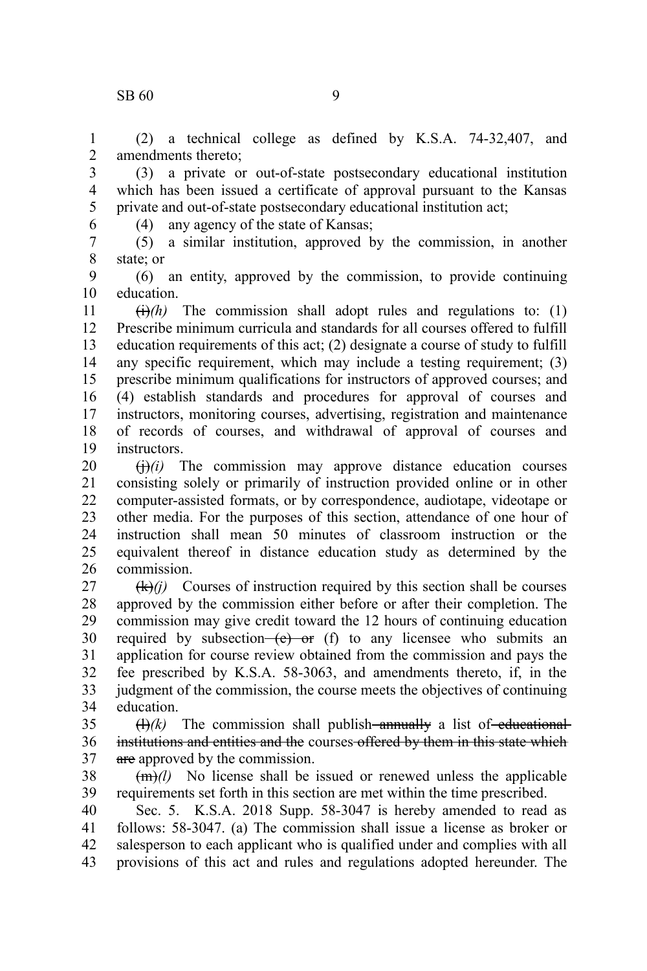## $\text{SR } 60$  9

(2) a technical college as defined by K.S.A. 74-32,407, and amendments thereto; 1 2

(3) a private or out-of-state postsecondary educational institution which has been issued a certificate of approval pursuant to the Kansas private and out-of-state postsecondary educational institution act; 3 4 5

6

(4) any agency of the state of Kansas;

(5) a similar institution, approved by the commission, in another state; or 7 8

(6) an entity, approved by the commission, to provide continuing education. 9 10

 $\overrightarrow{(t)}$  The commission shall adopt rules and regulations to: (1) Prescribe minimum curricula and standards for all courses offered to fulfill education requirements of this act; (2) designate a course of study to fulfill any specific requirement, which may include a testing requirement; (3) prescribe minimum qualifications for instructors of approved courses; and (4) establish standards and procedures for approval of courses and instructors, monitoring courses, advertising, registration and maintenance of records of courses, and withdrawal of approval of courses and instructors. 11 12 13 14 15 16 17 18 19

 $\left(\frac{1}{1}\right)(i)$  The commission may approve distance education courses consisting solely or primarily of instruction provided online or in other computer-assisted formats, or by correspondence, audiotape, videotape or other media. For the purposes of this section, attendance of one hour of instruction shall mean 50 minutes of classroom instruction or the equivalent thereof in distance education study as determined by the commission. 20 21 22 23 24 25 26

 $(k)(i)$  Courses of instruction required by this section shall be courses approved by the commission either before or after their completion. The commission may give credit toward the 12 hours of continuing education required by subsection— $(e)$  or (f) to any licensee who submits an application for course review obtained from the commission and pays the fee prescribed by K.S.A. 58-3063, and amendments thereto, if, in the judgment of the commission, the course meets the objectives of continuing education. 27 28 29 30 31 32 33 34

 $(H)/k$ ) The commission shall publish—annually a list of—educationalinstitutions and entities and the courses offered by them in this state which are approved by the commission. 35 36 37

(m)*(l)* No license shall be issued or renewed unless the applicable requirements set forth in this section are met within the time prescribed. 38 39

Sec. 5. K.S.A. 2018 Supp. 58-3047 is hereby amended to read as follows: 58-3047. (a) The commission shall issue a license as broker or salesperson to each applicant who is qualified under and complies with all provisions of this act and rules and regulations adopted hereunder. The 40 41 42 43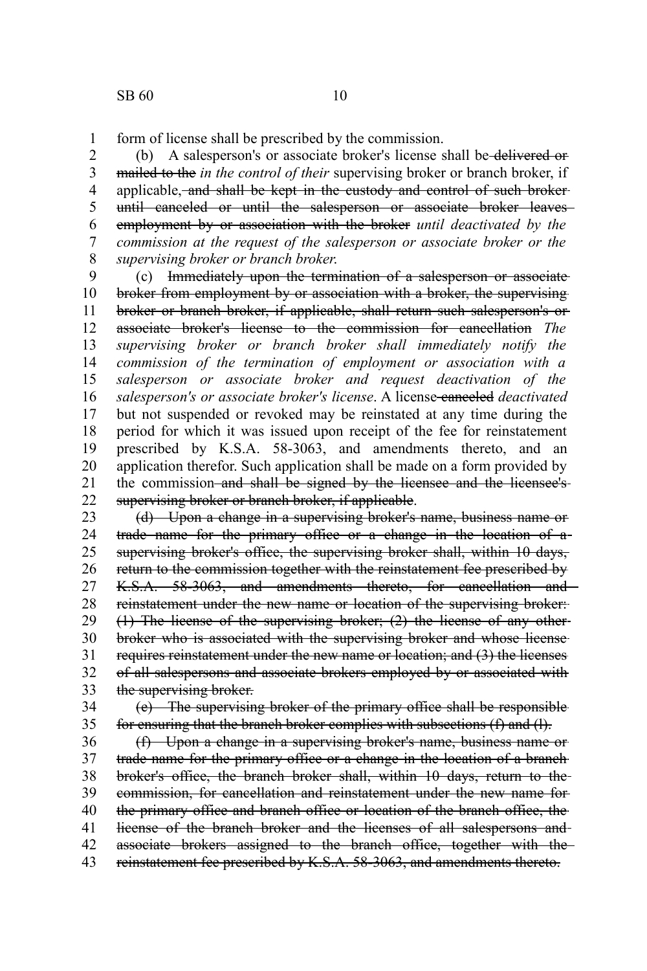form of license shall be prescribed by the commission. 1

(b) A salesperson's or associate broker's license shall be delivered or mailed to the *in the control of their* supervising broker or branch broker, if applicable, and shall be kept in the custody and control of such broker until canceled or until the salesperson or associate broker leaves employment by or association with the broker *until deactivated by the commission at the request of the salesperson or associate broker or the supervising broker or branch broker*. 2 3 4 5 6 7 8

(c) Immediately upon the termination of a salesperson or associate broker from employment by or association with a broker, the supervising broker or branch broker, if applicable, shall return such salesperson's or associate broker's license to the commission for cancellation *The supervising broker or branch broker shall immediately notify the commission of the termination of employment or association with a salesperson or associate broker and request deactivation of the* salesperson's or associate broker's license. A license-canceled deactivated but not suspended or revoked may be reinstated at any time during the period for which it was issued upon receipt of the fee for reinstatement prescribed by K.S.A. 58-3063, and amendments thereto, and an application therefor. Such application shall be made on a form provided by the commission–and shall be signed by the licensee and the licensee'ssupervising broker or branch broker, if applicable. 9 10 11 12 13 14 15 16 17 18 19 20 21 22

(d) Upon a change in a supervising broker's name, business name or trade name for the primary office or a change in the location of a supervising broker's office, the supervising broker shall, within 10 days, return to the commission together with the reinstatement fee prescribed by K.S.A. 58-3063, and amendments thereto, for cancellation and reinstatement under the new name or location of the supervising broker: (1) The license of the supervising broker; (2) the license of any other broker who is associated with the supervising broker and whose license requires reinstatement under the new name or location; and (3) the licenses of all salespersons and associate brokers employed by or associated with the supervising broker. 23 24 25 26 27 28 29 30 31 32 33

(e) The supervising broker of the primary office shall be responsible for ensuring that the branch broker complies with subsections (f) and (l). 34 35

(f) Upon a change in a supervising broker's name, business name or trade name for the primary office or a change in the location of a branch broker's office, the branch broker shall, within 10 days, return to the commission, for cancellation and reinstatement under the new name for the primary office and branch office or location of the branch office, the license of the branch broker and the licenses of all salespersons and associate brokers assigned to the branch office, together with the reinstatement fee prescribed by K.S.A. 58-3063, and amendments thereto. 36 37 38 39 40 41 42 43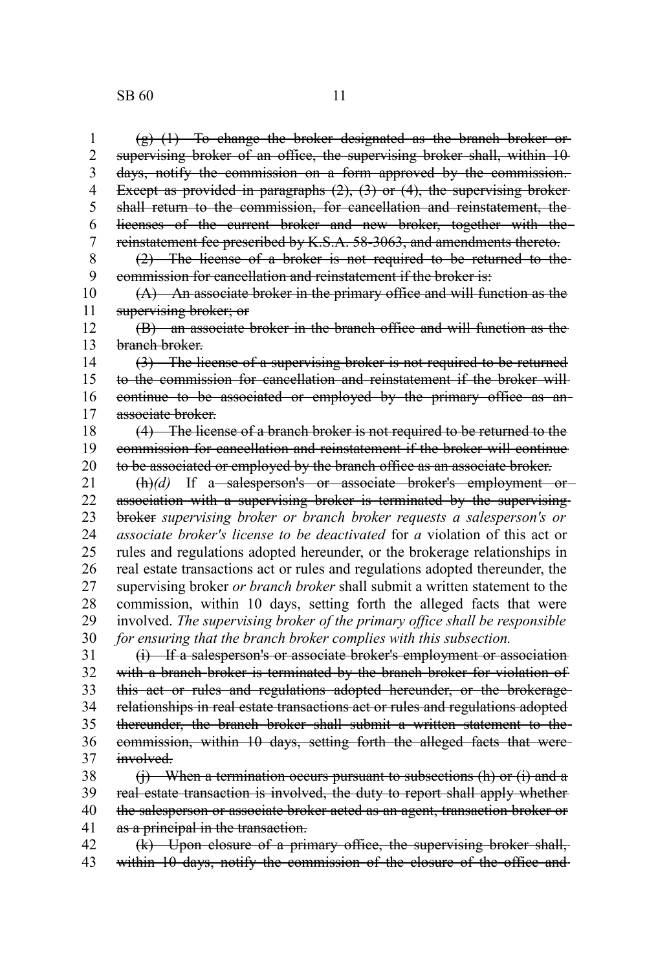(g) (1) To change the broker designated as the branch broker or supervising broker of an office, the supervising broker shall, within 10 days, notify the commission on a form approved by the commission. Except as provided in paragraphs  $(2)$ ,  $(3)$  or  $(4)$ , the supervising brokershall return to the commission, for cancellation and reinstatement, the licenses of the current broker and new broker, together with the reinstatement fee prescribed by K.S.A. 58-3063, and amendments thereto. (2) The license of a broker is not required to be returned to the commission for cancellation and reinstatement if the broker is: (A) An associate broker in the primary office and will function as the supervising broker; or (B) an associate broker in the branch office and will function as the branch broker. (3) The license of a supervising broker is not required to be returned to the commission for cancellation and reinstatement if the broker will continue to be associated or employed by the primary office as anassociate broker. (4) The license of a branch broker is not required to be returned to the commission for cancellation and reinstatement if the broker will continue to be associated or employed by the branch office as an associate broker. (h)(d) If a salesperson's or associate broker's employment or association with a supervising broker is terminated by the supervising broker *supervising broker or branch broker requests a salesperson's or associate broker's license to be deactivated* for *a* violation of this act or rules and regulations adopted hereunder, or the brokerage relationships in real estate transactions act or rules and regulations adopted thereunder, the supervising broker *or branch broker* shall submit a written statement to the commission, within 10 days, setting forth the alleged facts that were involved. *The supervising broker of the primary office shall be responsible for ensuring that the branch broker complies with this subsection.* (i) If a salesperson's or associate broker's employment or association with a branch broker is terminated by the branch broker for violation of this act or rules and regulations adopted hereunder, or the brokerage relationships in real estate transactions act or rules and regulations adopted thereunder, the branch broker shall submit a written statement to the commission, within 10 days, setting forth the alleged facts that were involved.  $(i)$  When a termination occurs pursuant to subsections  $(h)$  or  $(i)$  and a real estate transaction is involved, the duty to report shall apply whether the salesperson or associate broker acted as an agent, transaction broker or as a principal in the transaction. 1 2 3 4 5 6 7 8 9 10 11 12 13 14 15 16 17 18 19 20 21 22 23 24 25 26 27 28 29 30 31 32 33 34 35 36 37 38 39 40 41

(k) Upon closure of a primary office, the supervising broker shall, within 10 days, notify the commission of the closure of the office and 42 43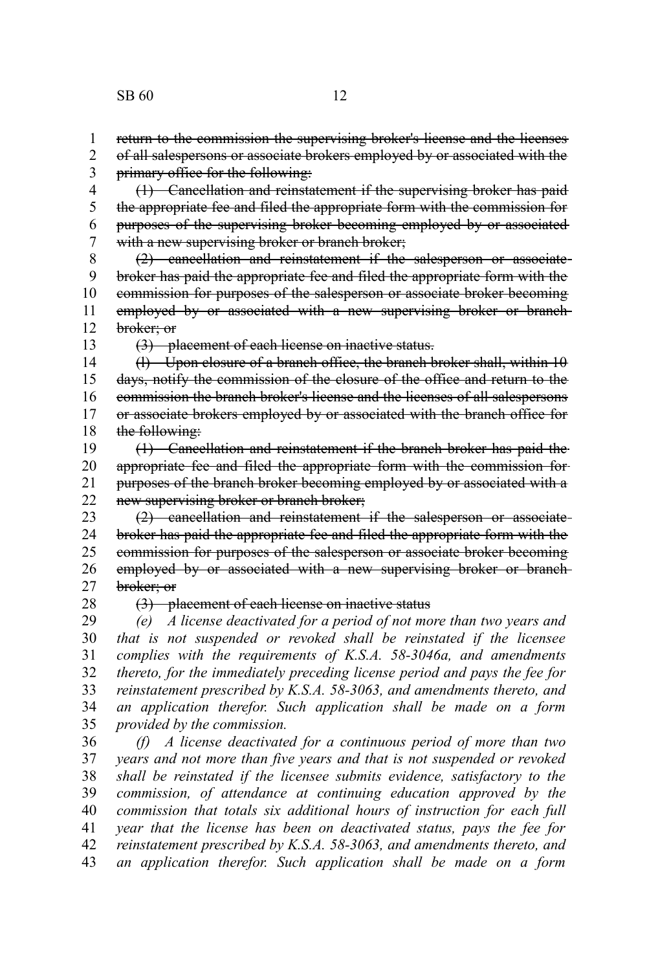return to the commission the supervising broker's license and the licenses of all salespersons or associate brokers employed by or associated with the primary office for the following: 1 2 3

(1) Cancellation and reinstatement if the supervising broker has paid the appropriate fee and filed the appropriate form with the commission for purposes of the supervising broker becoming employed by or associated with a new supervising broker or branch broker; 4 5 6 7

(2) cancellation and reinstatement if the salesperson or associate broker has paid the appropriate fee and filed the appropriate form with the commission for purposes of the salesperson or associate broker becoming employed by or associated with a new supervising broker or branchbroker; or 8 9 10 11 12

13

(3) placement of each license on inactive status.

(l) Upon closure of a branch office, the branch broker shall, within 10 days, notify the commission of the closure of the office and return to the commission the branch broker's license and the licenses of all salespersons or associate brokers employed by or associated with the branch office for the following: 14 15 16 17 18

(1) Cancellation and reinstatement if the branch broker has paid the appropriate fee and filed the appropriate form with the commission for purposes of the branch broker becoming employed by or associated with a new supervising broker or branch broker; 19 20 21 22

(2) cancellation and reinstatement if the salesperson or associate broker has paid the appropriate fee and filed the appropriate form with the commission for purposes of the salesperson or associate broker becoming employed by or associated with a new supervising broker or branchbroker; or 23 24 25 26 27

28

(3) placement of each license on inactive status

*(e) A license deactivated for a period of not more than two years and that is not suspended or revoked shall be reinstated if the licensee complies with the requirements of K.S.A. 58-3046a, and amendments thereto, for the immediately preceding license period and pays the fee for reinstatement prescribed by K.S.A. 58-3063, and amendments thereto, and an application therefor. Such application shall be made on a form provided by the commission.* 29 30 31 32 33 34 35

*(f) A license deactivated for a continuous period of more than two years and not more than five years and that is not suspended or revoked shall be reinstated if the licensee submits evidence, satisfactory to the commission, of attendance at continuing education approved by the commission that totals six additional hours of instruction for each full year that the license has been on deactivated status, pays the fee for reinstatement prescribed by K.S.A. 58-3063, and amendments thereto, and an application therefor. Such application shall be made on a form* 36 37 38 39 40 41 42 43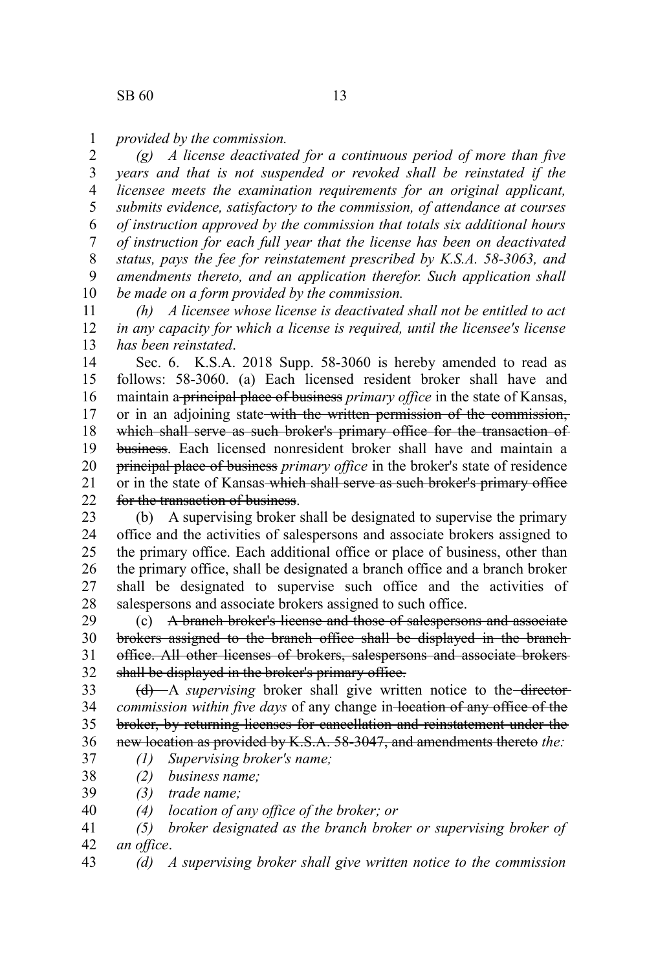*provided by the commission.* 1

*(g) A license deactivated for a continuous period of more than five years and that is not suspended or revoked shall be reinstated if the licensee meets the examination requirements for an original applicant, submits evidence, satisfactory to the commission, of attendance at courses of instruction approved by the commission that totals six additional hours of instruction for each full year that the license has been on deactivated status, pays the fee for reinstatement prescribed by K.S.A. 58-3063, and amendments thereto, and an application therefor. Such application shall be made on a form provided by the commission.* 2 3 4 5 6 7 8 9 10

*(h) A licensee whose license is deactivated shall not be entitled to act in any capacity for which a license is required, until the licensee's license has been reinstated*. 11 12 13

Sec. 6. K.S.A. 2018 Supp. 58-3060 is hereby amended to read as follows: 58-3060. (a) Each licensed resident broker shall have and maintain a principal place of business *primary office* in the state of Kansas, or in an adjoining state-with the written permission of the commission, which shall serve as such broker's primary office for the transaction of business. Each licensed nonresident broker shall have and maintain a principal place of business *primary office* in the broker's state of residence or in the state of Kansas which shall serve as such broker's primary office for the transaction of business. 14 15 16 17 18 19 20 21  $22$ 

(b) A supervising broker shall be designated to supervise the primary office and the activities of salespersons and associate brokers assigned to the primary office. Each additional office or place of business, other than the primary office, shall be designated a branch office and a branch broker shall be designated to supervise such office and the activities of salespersons and associate brokers assigned to such office. 23 24 25 26 27 28

(c) A branch broker's license and those of salespersons and associate brokers assigned to the branch office shall be displayed in the branch office. All other licenses of brokers, salespersons and associate brokers shall be displayed in the broker's primary office. 29 30 31 32

(d) A *supervising* broker shall give written notice to the director*commission within five days* of any change in-location of any office of the broker, by returning licenses for cancellation and reinstatement under the new location as provided by K.S.A. 58-3047, and amendments thereto *the:* 33 34 35 36 37

- *(1) Supervising broker's name;*
- *(2) business name;* 38
- *(3) trade name;* 39
- *(4) location of any office of the broker; or* 40
- *(5) broker designated as the branch broker or supervising broker of an office*. 41 42
- *(d) A supervising broker shall give written notice to the commission* 43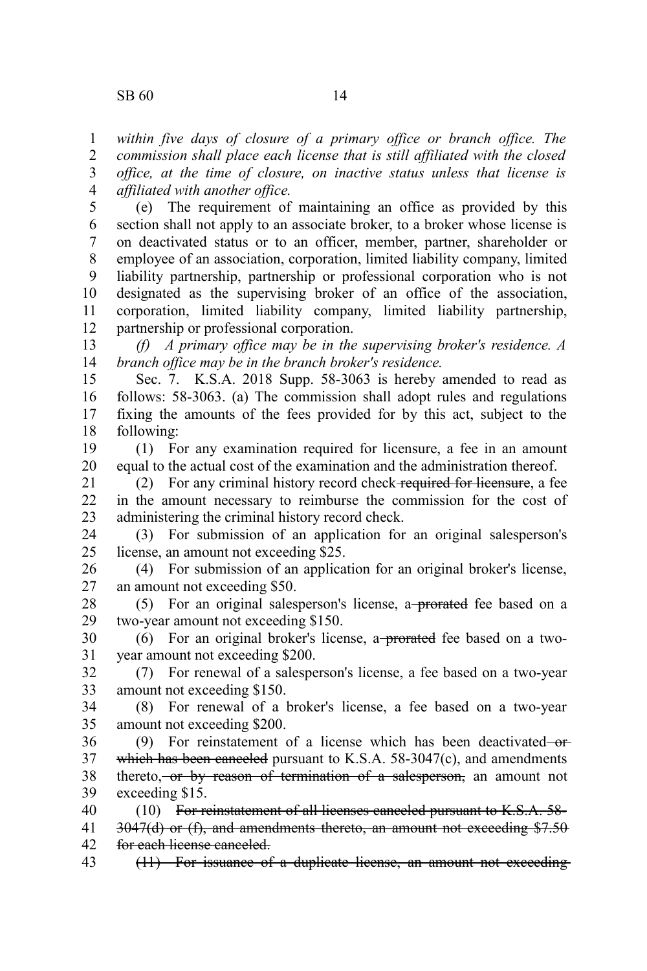*within five days of closure of a primary office or branch office. The commission shall place each license that is still affiliated with the closed office, at the time of closure, on inactive status unless that license is affiliated with another office.* 1 2 3 4

(e) The requirement of maintaining an office as provided by this section shall not apply to an associate broker, to a broker whose license is on deactivated status or to an officer, member, partner, shareholder or employee of an association, corporation, limited liability company, limited liability partnership, partnership or professional corporation who is not designated as the supervising broker of an office of the association, corporation, limited liability company, limited liability partnership, partnership or professional corporation. 5 6 7 8 9 10 11 12

*(f) A primary office may be in the supervising broker's residence. A branch office may be in the branch broker's residence.* 13 14

Sec. 7. K.S.A. 2018 Supp. 58-3063 is hereby amended to read as follows: 58-3063. (a) The commission shall adopt rules and regulations fixing the amounts of the fees provided for by this act, subject to the following: 15 16 17 18

(1) For any examination required for licensure, a fee in an amount equal to the actual cost of the examination and the administration thereof. 19 20

(2) For any criminal history record check required for licensure, a fee in the amount necessary to reimburse the commission for the cost of administering the criminal history record check. 21 22 23

(3) For submission of an application for an original salesperson's license, an amount not exceeding \$25. 24 25

(4) For submission of an application for an original broker's license, an amount not exceeding \$50. 26 27

(5) For an original salesperson's license, a<del> prorated</del> fee based on a two-year amount not exceeding \$150. 28 29

(6) For an original broker's license, a<del>-prorated</del> fee based on a twoyear amount not exceeding \$200. 30 31

(7) For renewal of a salesperson's license, a fee based on a two-year amount not exceeding \$150. 32 33

(8) For renewal of a broker's license, a fee based on a two-year amount not exceeding \$200. 34 35

(9) For reinstatement of a license which has been deactivated  $-$ orwhich has been canceled pursuant to K.S.A. 58-3047(c), and amendments thereto, or by reason of termination of a salesperson, an amount not exceeding \$15. 36 37 38 39

(10) For reinstatement of all licenses canceled pursuant to K.S.A. 58- 3047(d) or (f), and amendments thereto, an amount not exceeding \$7.50 for each license canceled. 40 41 42

(11) For issuance of a duplicate license, an amount not exceeding 43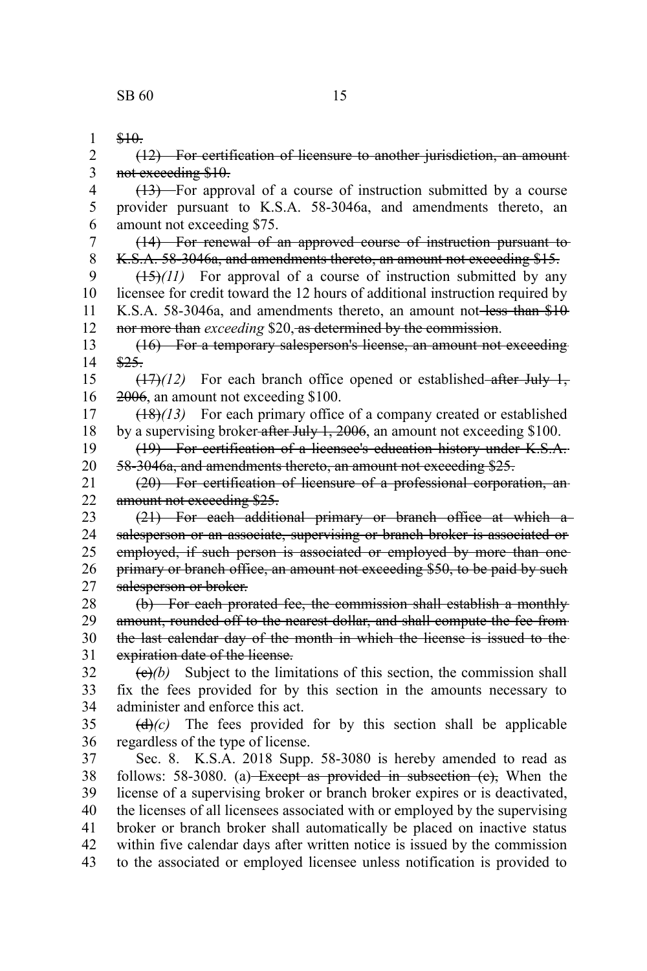\$10. (12) For certification of licensure to another jurisdiction, an amount not exceeding \$10. (13) For approval of a course of instruction submitted by a course provider pursuant to K.S.A. 58-3046a, and amendments thereto, an amount not exceeding \$75. (14) For renewal of an approved course of instruction pursuant to K.S.A. 58-3046a, and amendments thereto, an amount not exceeding \$15.  $(15)(11)$  For approval of a course of instruction submitted by any licensee for credit toward the 12 hours of additional instruction required by K.S.A. 58-3046a, and amendments thereto, an amount not-less than \$10 nor more than *exceeding* \$20, as determined by the commission. (16) For a temporary salesperson's license, an amount not exceeding \$25.  $(17)$ *(12)* For each branch office opened or established–after July 1, 2006, an amount not exceeding \$100. (18)*(13)* For each primary office of a company created or established by a supervising broker-after July 1, 2006, an amount not exceeding \$100. (19) For certification of a licensee's education history under K.S.A. 58-3046a, and amendments thereto, an amount not exceeding \$25. (20) For certification of licensure of a professional corporation, an amount not exceeding \$25. (21) For each additional primary or branch office at which a salesperson or an associate, supervising or branch broker is associated or employed, if such person is associated or employed by more than oneprimary or branch office, an amount not exceeding \$50, to be paid by such salesperson or broker. (b) For each prorated fee, the commission shall establish a monthly amount, rounded off to the nearest dollar, and shall compute the fee from the last calendar day of the month in which the license is issued to the expiration date of the license.  $\left(\frac{e}{e}\right)$  Subject to the limitations of this section, the commission shall fix the fees provided for by this section in the amounts necessary to administer and enforce this act.  $(d)$  (c) The fees provided for by this section shall be applicable regardless of the type of license. Sec. 8. K.S.A. 2018 Supp. 58-3080 is hereby amended to read as follows: 58-3080. (a) Except as provided in subsection  $(e)$ , When the license of a supervising broker or branch broker expires or is deactivated, the licenses of all licensees associated with or employed by the supervising broker or branch broker shall automatically be placed on inactive status within five calendar days after written notice is issued by the commission to the associated or employed licensee unless notification is provided to 1 2 3 4 5 6 7 8 9 10 11 12 13 14 15 16 17 18 19 20 21 22 23 24 25 26 27 28 29 30 31 32 33 34 35 36 37 38 39 40 41 42 43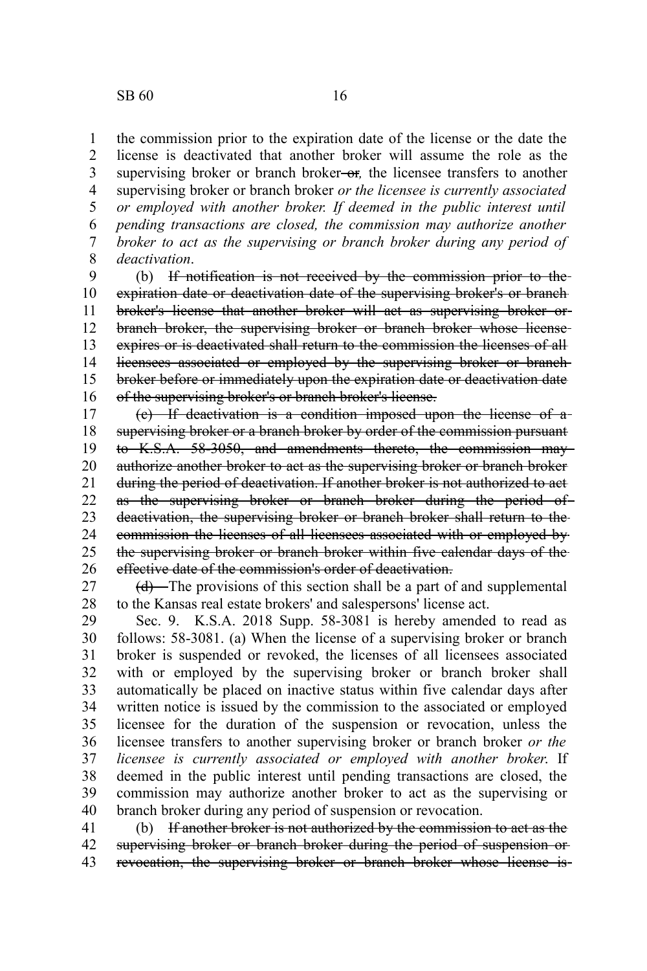the commission prior to the expiration date of the license or the date the license is deactivated that another broker will assume the role as the supervising broker or branch broker-or, the licensee transfers to another supervising broker or branch broker *or the licensee is currently associated or employed with another broker. If deemed in the public interest until pending transactions are closed, the commission may authorize another broker to act as the supervising or branch broker during any period of deactivation*. 1 2 3 4 5 6 7 8

(b) If notification is not received by the commission prior to the expiration date or deactivation date of the supervising broker's or branch broker's license that another broker will act as supervising broker or branch broker, the supervising broker or branch broker whose license expires or is deactivated shall return to the commission the licenses of all licensees associated or employed by the supervising broker or branch broker before or immediately upon the expiration date or deactivation date of the supervising broker's or branch broker's license. 9 10 11 12 13 14 15 16

(c) If deactivation is a condition imposed upon the license of a supervising broker or a branch broker by order of the commission pursuant to K.S.A. 58-3050, and amendments thereto, the commission may authorize another broker to act as the supervising broker or branch broker during the period of deactivation. If another broker is not authorized to act as the supervising broker or branch broker during the period of deactivation, the supervising broker or branch broker shall return to the commission the licenses of all licensees associated with or employed by the supervising broker or branch broker within five calendar days of the effective date of the commission's order of deactivation. 17 18 19 20 21 22 23 24 25 26

(d) The provisions of this section shall be a part of and supplemental to the Kansas real estate brokers' and salespersons' license act. 27 28

Sec. 9. K.S.A. 2018 Supp. 58-3081 is hereby amended to read as follows: 58-3081. (a) When the license of a supervising broker or branch broker is suspended or revoked, the licenses of all licensees associated with or employed by the supervising broker or branch broker shall automatically be placed on inactive status within five calendar days after written notice is issued by the commission to the associated or employed licensee for the duration of the suspension or revocation, unless the licensee transfers to another supervising broker or branch broker *or the licensee is currently associated or employed with another broker*. If deemed in the public interest until pending transactions are closed, the commission may authorize another broker to act as the supervising or branch broker during any period of suspension or revocation. 29 30 31 32 33 34 35 36 37 38 39 40

(b) If another broker is not authorized by the commission to act as the supervising broker or branch broker during the period of suspension or revocation, the supervising broker or branch broker whose license is 41 42 43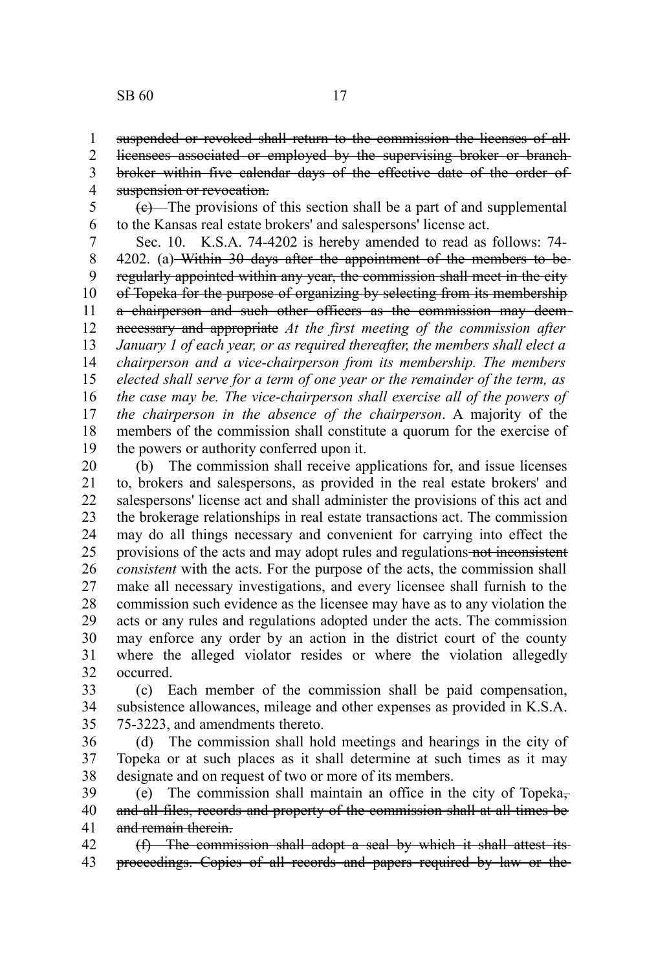suspended or revoked shall return to the commission the licenses of all-1

licensees associated or employed by the supervising broker or branch 2

broker within five calendar days of the effective date of the order of suspension or revocation. 3 4

 $(e)$ —The provisions of this section shall be a part of and supplemental to the Kansas real estate brokers' and salespersons' license act. 5 6

Sec. 10. K.S.A. 74-4202 is hereby amended to read as follows: 74- 4202. (a) Within 30 days after the appointment of the members to beregularly appointed within any year, the commission shall meet in the city of Topeka for the purpose of organizing by selecting from its membership a chairperson and such other officers as the commission may deemnecessary and appropriate *At the first meeting of the commission after January 1 of each year, or as required thereafter, the members shall elect a chairperson and a vice-chairperson from its membership. The members elected shall serve for a term of one year or the remainder of the term, as the case may be. The vice-chairperson shall exercise all of the powers of the chairperson in the absence of the chairperson*. A majority of the members of the commission shall constitute a quorum for the exercise of the powers or authority conferred upon it. 7 8 9 10 11 12 13 14 15 16 17 18 19

(b) The commission shall receive applications for, and issue licenses to, brokers and salespersons, as provided in the real estate brokers' and salespersons' license act and shall administer the provisions of this act and the brokerage relationships in real estate transactions act. The commission may do all things necessary and convenient for carrying into effect the provisions of the acts and may adopt rules and regulations not inconsistent *consistent* with the acts. For the purpose of the acts, the commission shall make all necessary investigations, and every licensee shall furnish to the commission such evidence as the licensee may have as to any violation the acts or any rules and regulations adopted under the acts. The commission may enforce any order by an action in the district court of the county where the alleged violator resides or where the violation allegedly occurred. 20 21 22 23 24 25 26 27 28 29 30 31 32

(c) Each member of the commission shall be paid compensation, subsistence allowances, mileage and other expenses as provided in K.S.A. 75-3223, and amendments thereto. 33 34 35

(d) The commission shall hold meetings and hearings in the city of Topeka or at such places as it shall determine at such times as it may designate and on request of two or more of its members. 36 37 38

(e) The commission shall maintain an office in the city of Topeka, and all files, records and property of the commission shall at all times be and remain therein. 39 40 41

(f) The commission shall adopt a seal by which it shall attest its proceedings. Copies of all records and papers required by law or the 42 43